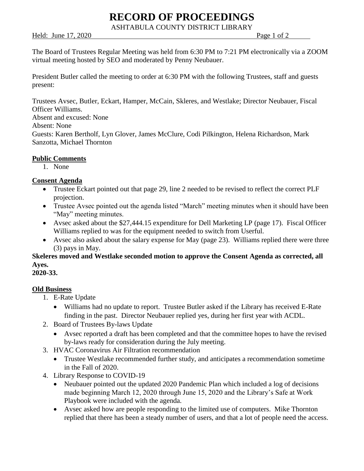# **RECORD OF PROCEEDINGS**

ASHTABULA COUNTY DISTRICT LIBRARY

Held: June 17, 2020 **Page 1** of 2

The Board of Trustees Regular Meeting was held from 6:30 PM to 7:21 PM electronically via a ZOOM virtual meeting hosted by SEO and moderated by Penny Neubauer.

President Butler called the meeting to order at 6:30 PM with the following Trustees, staff and guests present:

Trustees Avsec, Butler, Eckart, Hamper, McCain, Skleres, and Westlake; Director Neubauer, Fiscal Officer Williams.

Absent and excused: None

Absent: None

Guests: Karen Bertholf, Lyn Glover, James McClure, Codi Pilkington, Helena Richardson, Mark Sanzotta, Michael Thornton

## **Public Comments**

1. None

## **Consent Agenda**

- Trustee Eckart pointed out that page 29, line 2 needed to be revised to reflect the correct PLF projection.
- Trustee Avsec pointed out the agenda listed "March" meeting minutes when it should have been "May" meeting minutes.
- Avsec asked about the \$27,444.15 expenditure for Dell Marketing LP (page 17). Fiscal Officer Williams replied to was for the equipment needed to switch from Userful.
- Avsec also asked about the salary expense for May (page 23). Williams replied there were three (3) pays in May.

**Skeleres moved and Westlake seconded motion to approve the Consent Agenda as corrected, all Ayes.**

## **2020-33.**

# **Old Business**

- 1. E-Rate Update
	- Williams had no update to report. Trustee Butler asked if the Library has received E-Rate finding in the past. Director Neubauer replied yes, during her first year with ACDL.
- 2. Board of Trustees By-laws Update
	- Avsec reported a draft has been completed and that the committee hopes to have the revised by-laws ready for consideration during the July meeting.
- 3. HVAC Coronavirus Air Filtration recommendation
	- Trustee Westlake recommended further study, and anticipates a recommendation sometime in the Fall of 2020.
- 4. Library Response to COVID-19
	- Neubauer pointed out the updated 2020 Pandemic Plan which included a log of decisions made beginning March 12, 2020 through June 15, 2020 and the Library's Safe at Work Playbook were included with the agenda.
	- Avsec asked how are people responding to the limited use of computers. Mike Thornton replied that there has been a steady number of users, and that a lot of people need the access.